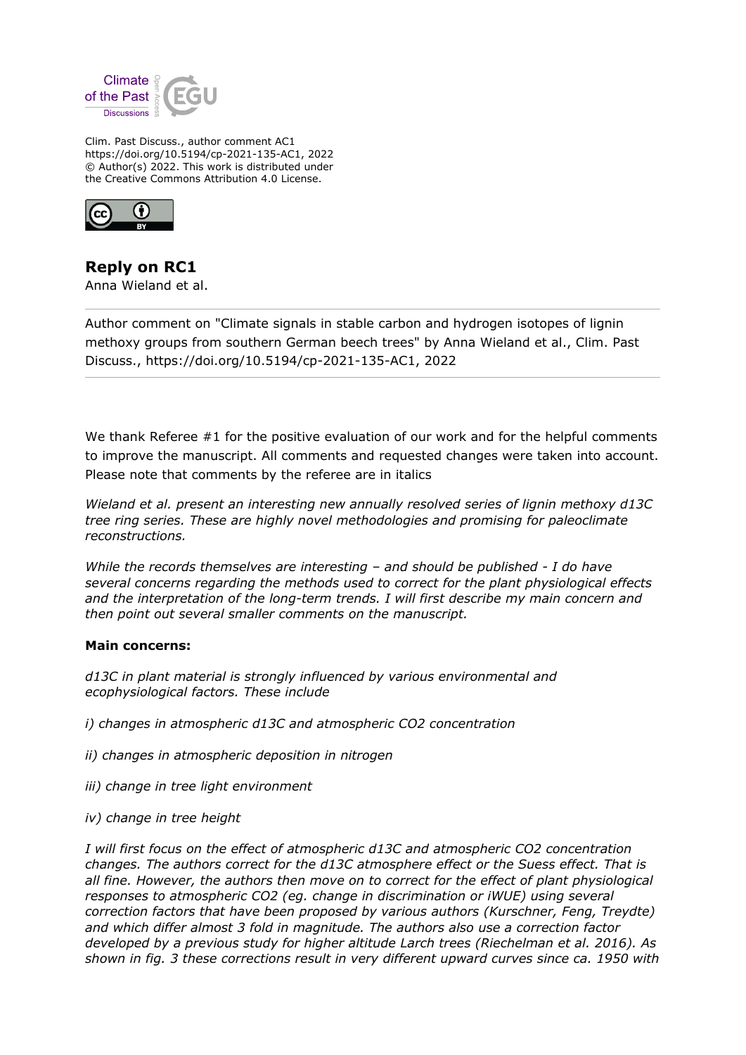

Clim. Past Discuss., author comment AC1 https://doi.org/10.5194/cp-2021-135-AC1, 2022 © Author(s) 2022. This work is distributed under the Creative Commons Attribution 4.0 License.



**Reply on RC1** Anna Wieland et al.

Author comment on "Climate signals in stable carbon and hydrogen isotopes of lignin methoxy groups from southern German beech trees" by Anna Wieland et al., Clim. Past Discuss., https://doi.org/10.5194/cp-2021-135-AC1, 2022

We thank Referee #1 for the positive evaluation of our work and for the helpful comments to improve the manuscript. All comments and requested changes were taken into account. Please note that comments by the referee are in italics

*Wieland et al. present an interesting new annually resolved series of lignin methoxy d13C tree ring series. These are highly novel methodologies and promising for paleoclimate reconstructions.*

*While the records themselves are interesting – and should be published - I do have several concerns regarding the methods used to correct for the plant physiological effects and the interpretation of the long-term trends. I will first describe my main concern and then point out several smaller comments on the manuscript.*

## **Main concerns:**

*d13C in plant material is strongly influenced by various environmental and ecophysiological factors. These include*

*i) changes in atmospheric d13C and atmospheric CO2 concentration*

- *ii) changes in atmospheric deposition in nitrogen*
- *iii) change in tree light environment*
- *iv) change in tree height*

*I will first focus on the effect of atmospheric d13C and atmospheric CO2 concentration changes. The authors correct for the d13C atmosphere effect or the Suess effect. That is all fine. However, the authors then move on to correct for the effect of plant physiological responses to atmospheric CO2 (eg. change in discrimination or iWUE) using several correction factors that have been proposed by various authors (Kurschner, Feng, Treydte) and which differ almost 3 fold in magnitude. The authors also use a correction factor developed by a previous study for higher altitude Larch trees (Riechelman et al. 2016). As shown in fig. 3 these corrections result in very different upward curves since ca. 1950 with*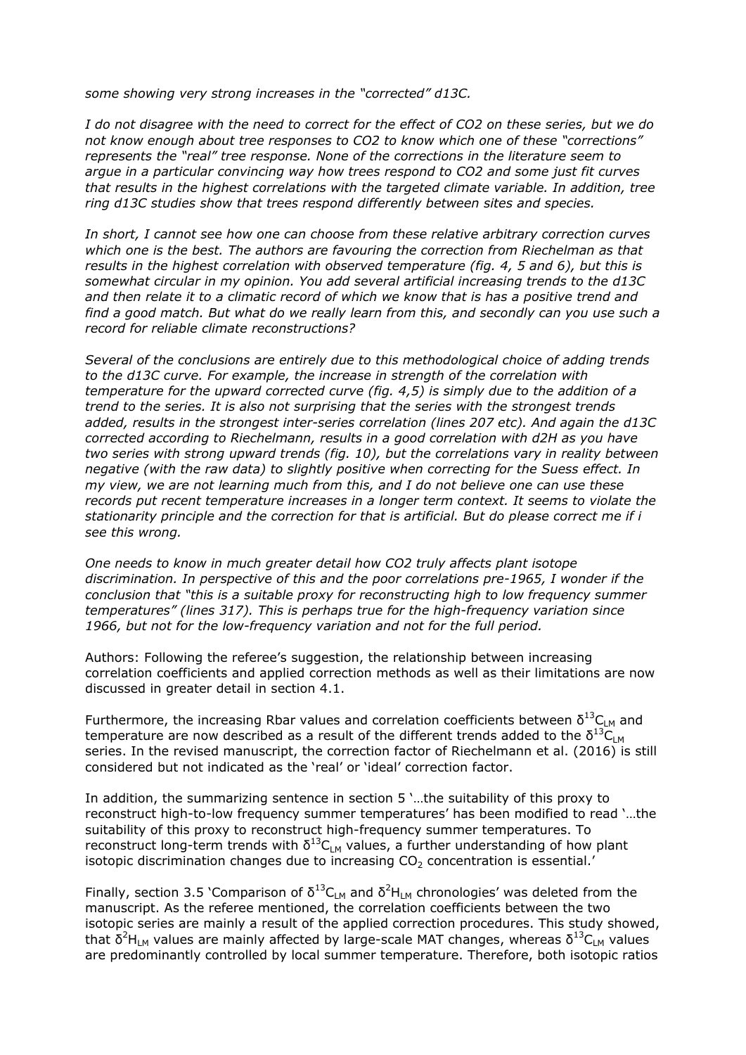*some showing very strong increases in the "corrected" d13C.*

*I do not disagree with the need to correct for the effect of CO2 on these series, but we do not know enough about tree responses to CO2 to know which one of these "corrections" represents the "real" tree response. None of the corrections in the literature seem to argue in a particular convincing way how trees respond to CO2 and some just fit curves that results in the highest correlations with the targeted climate variable. In addition, tree ring d13C studies show that trees respond differently between sites and species.*

*In short, I cannot see how one can choose from these relative arbitrary correction curves which one is the best. The authors are favouring the correction from Riechelman as that results in the highest correlation with observed temperature (fig. 4, 5 and 6), but this is somewhat circular in my opinion. You add several artificial increasing trends to the d13C and then relate it to a climatic record of which we know that is has a positive trend and find a good match. But what do we really learn from this, and secondly can you use such a record for reliable climate reconstructions?*

*Several of the conclusions are entirely due to this methodological choice of adding trends to the d13C curve. For example, the increase in strength of the correlation with temperature for the upward corrected curve (fig. 4,5) is simply due to the addition of a trend to the series. It is also not surprising that the series with the strongest trends added, results in the strongest inter-series correlation (lines 207 etc). And again the d13C corrected according to Riechelmann, results in a good correlation with d2H as you have two series with strong upward trends (fig. 10), but the correlations vary in reality between negative (with the raw data) to slightly positive when correcting for the Suess effect. In my view, we are not learning much from this, and I do not believe one can use these records put recent temperature increases in a longer term context. It seems to violate the stationarity principle and the correction for that is artificial. But do please correct me if i see this wrong.* 

*One needs to know in much greater detail how CO2 truly affects plant isotope discrimination. In perspective of this and the poor correlations pre-1965, I wonder if the conclusion that "this is a suitable proxy for reconstructing high to low frequency summer temperatures" (lines 317). This is perhaps true for the high-frequency variation since 1966, but not for the low-frequency variation and not for the full period.*

Authors: Following the referee's suggestion, the relationship between increasing correlation coefficients and applied correction methods as well as their limitations are now discussed in greater detail in section 4.1.

Furthermore, the increasing Rbar values and correlation coefficients between  $\delta^{13}C_{LM}$  and temperature are now described as a result of the different trends added to the  $\delta^{13}$ C<sub>LM</sub> series. In the revised manuscript, the correction factor of Riechelmann et al. (2016) is still considered but not indicated as the 'real' or 'ideal' correction factor.

In addition, the summarizing sentence in section 5 '…the suitability of this proxy to reconstruct high-to-low frequency summer temperatures' has been modified to read '…the suitability of this proxy to reconstruct high-frequency summer temperatures. To reconstruct long-term trends with  $\delta^{13}C_{LM}$  values, a further understanding of how plant isotopic discrimination changes due to increasing  $CO<sub>2</sub>$  concentration is essential.'

Finally, section 3.5 'Comparison of  $\delta^{13}C_{LM}$  and  $\delta^2H_{LM}$  chronologies' was deleted from the manuscript. As the referee mentioned, the correlation coefficients between the two isotopic series are mainly a result of the applied correction procedures. This study showed, that  $\delta^2$ H<sub>LM</sub> values are mainly affected by large-scale MAT changes, whereas  $\delta^{13}C_{LM}$  values are predominantly controlled by local summer temperature. Therefore, both isotopic ratios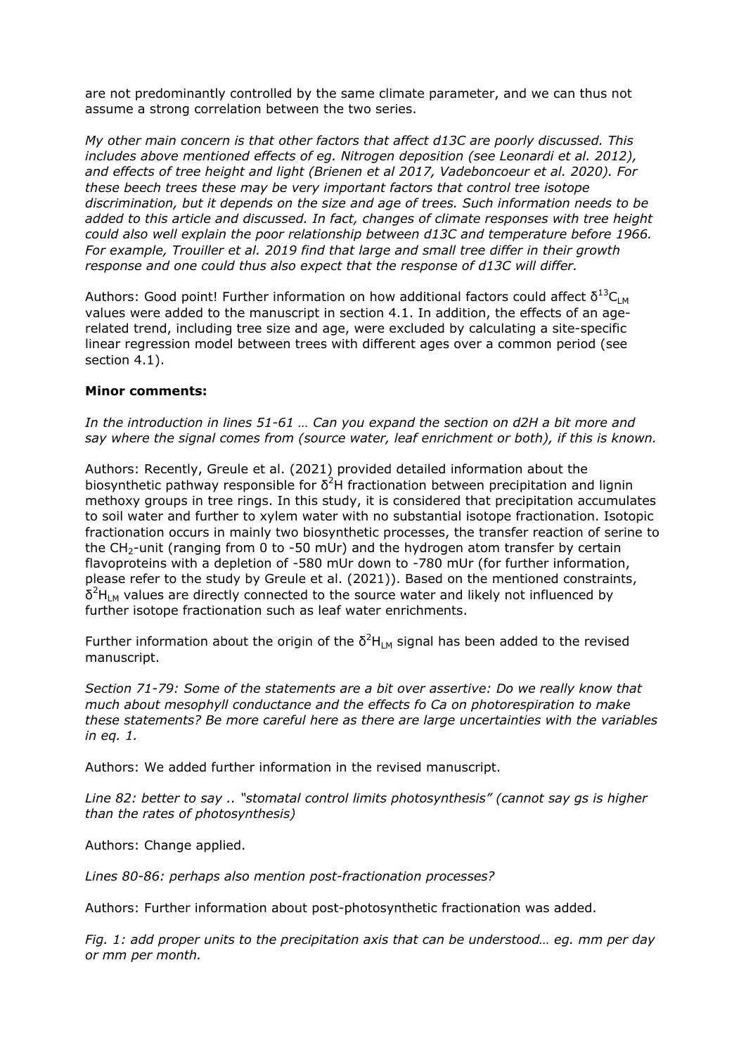are not predominantly controlled by the same climate parameter, and we can thus not assume a strong correlation between the two series.

*My other main concern is that other factors that affect d13C are poorly discussed. This includes above mentioned effects of eg. Nitrogen deposition (see Leonardi et al. 2012), and effects of tree height and light (Brienen et al 2017, Vadeboncoeur et al. 2020). For these beech trees these may be very important factors that control tree isotope discrimination, but it depends on the size and age of trees. Such information needs to be added to this article and discussed. In fact, changes of climate responses with tree height could also well explain the poor relationship between d13C and temperature before 1966. For example, Trouiller et al. 2019 find that large and small tree differ in their growth response and one could thus also expect that the response of d13C will differ.*

Authors: Good point! Further information on how additional factors could affect  $\delta^{13}C_{LM}$ values were added to the manuscript in section 4.1. In addition, the effects of an agerelated trend, including tree size and age, were excluded by calculating a site-specific linear regression model between trees with different ages over a common period (see section 4.1).

## **Minor comments:**

*In the introduction in lines 51-61 … Can you expand the section on d2H a bit more and say where the signal comes from (source water, leaf enrichment or both), if this is known.*

Authors: Recently, Greule et al. (2021) provided detailed information about the biosynthetic pathway responsible for  $\delta^2$ H fractionation between precipitation and lignin methoxy groups in tree rings. In this study, it is considered that precipitation accumulates to soil water and further to xylem water with no substantial isotope fractionation. Isotopic fractionation occurs in mainly two biosynthetic processes, the transfer reaction of serine to the  $CH_2$ -unit (ranging from 0 to -50 mUr) and the hydrogen atom transfer by certain flavoproteins with a depletion of -580 mUr down to -780 mUr (for further information, please refer to the study by Greule et al. (2021)). Based on the mentioned constraints,  $\delta^2$ H<sub>LM</sub> values are directly connected to the source water and likely not influenced by further isotope fractionation such as leaf water enrichments.

Further information about the origin of the  $\delta^2H_{LM}$  signal has been added to the revised manuscript.

*Section 71-79: Some of the statements are a bit over assertive: Do we really know that much about mesophyll conductance and the effects fo Ca on photorespiration to make these statements? Be more careful here as there are large uncertainties with the variables in eq. 1.*

Authors: We added further information in the revised manuscript.

*Line 82: better to say .. "stomatal control limits photosynthesis" (cannot say gs is higher than the rates of photosynthesis)*

Authors: Change applied.

*Lines 80-86: perhaps also mention post-fractionation processes?*

Authors: Further information about post-photosynthetic fractionation was added.

*Fig. 1: add proper units to the precipitation axis that can be understood… eg. mm per day or mm per month.*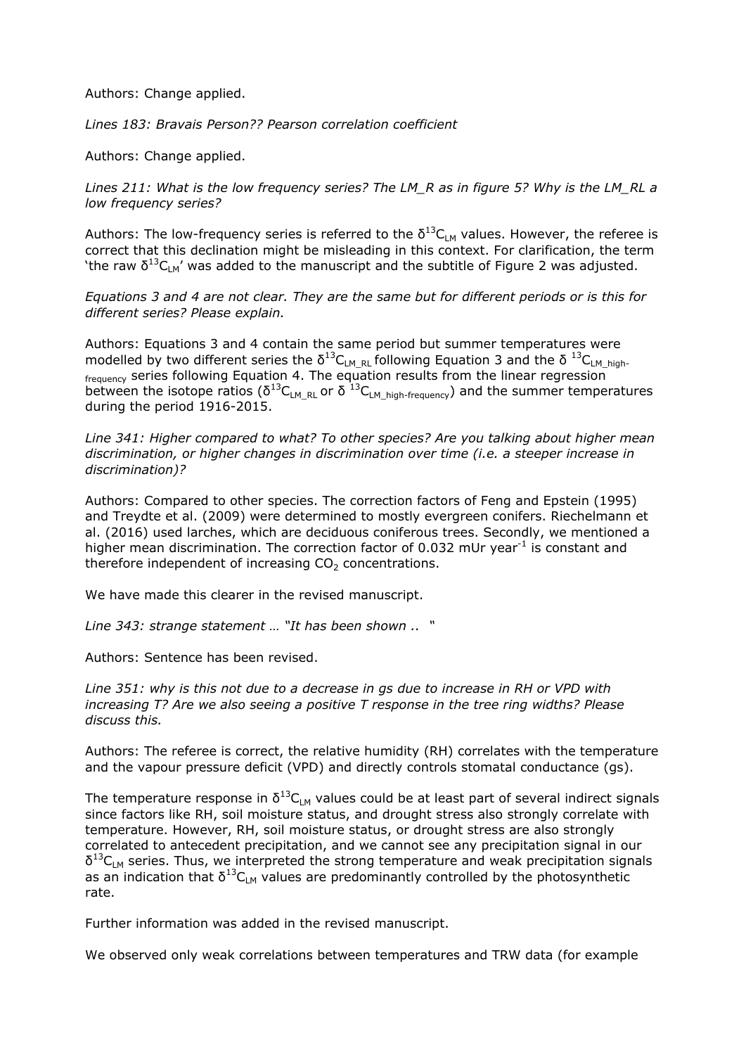Authors: Change applied.

*Lines 183: Bravais Person?? Pearson correlation coefficient*

Authors: Change applied.

*Lines 211: What is the low frequency series? The LM\_R as in figure 5? Why is the LM\_RL a low frequency series?*

Authors: The low-frequency series is referred to the  $\delta^{13}C_{LM}$  values. However, the referee is correct that this declination might be misleading in this context. For clarification, the term 'the raw  $\delta^{13}C_{LM}$ ' was added to the manuscript and the subtitle of Figure 2 was adjusted.

*Equations 3 and 4 are not clear. They are the same but for different periods or is this for different series? Please explain.*

Authors: Equations 3 and 4 contain the same period but summer temperatures were modelled by two different series the δ<sup>13</sup>C<sub>LM\_RL</sub> following Equation 3 and the δ<sup>13</sup>C<sub>LM\_high-</sub> <sub>frequency</sub> series following Equation 4. The equation results from the linear regression between the isotope ratios ( $\delta^{13}C_{LM_RL}$  or  $\delta^{13}C_{LM_Lhigh-frequency}$ ) and the summer temperatures during the period 1916-2015.

*Line 341: Higher compared to what? To other species? Are you talking about higher mean discrimination, or higher changes in discrimination over time (i.e. a steeper increase in discrimination)?*

Authors: Compared to other species. The correction factors of Feng and Epstein (1995) and Treydte et al. (2009) were determined to mostly evergreen conifers. Riechelmann et al. (2016) used larches, which are deciduous coniferous trees. Secondly, we mentioned a higher mean discrimination. The correction factor of 0.032 mUr year $^{-1}$  is constant and therefore independent of increasing  $CO<sub>2</sub>$  concentrations.

We have made this clearer in the revised manuscript.

*Line 343: strange statement … "It has been shown .. "*

Authors: Sentence has been revised.

*Line 351: why is this not due to a decrease in gs due to increase in RH or VPD with increasing T? Are we also seeing a positive T response in the tree ring widths? Please discuss this.*

Authors: The referee is correct, the relative humidity (RH) correlates with the temperature and the vapour pressure deficit (VPD) and directly controls stomatal conductance (gs).

The temperature response in  $\delta^{13}C_{LM}$  values could be at least part of several indirect signals since factors like RH, soil moisture status, and drought stress also strongly correlate with temperature. However, RH, soil moisture status, or drought stress are also strongly correlated to antecedent precipitation, and we cannot see any precipitation signal in our  $\delta^{13}C_{LM}$  series. Thus, we interpreted the strong temperature and weak precipitation signals as an indication that  $\delta^{13}C_{LM}$  values are predominantly controlled by the photosynthetic rate.

Further information was added in the revised manuscript.

We observed only weak correlations between temperatures and TRW data (for example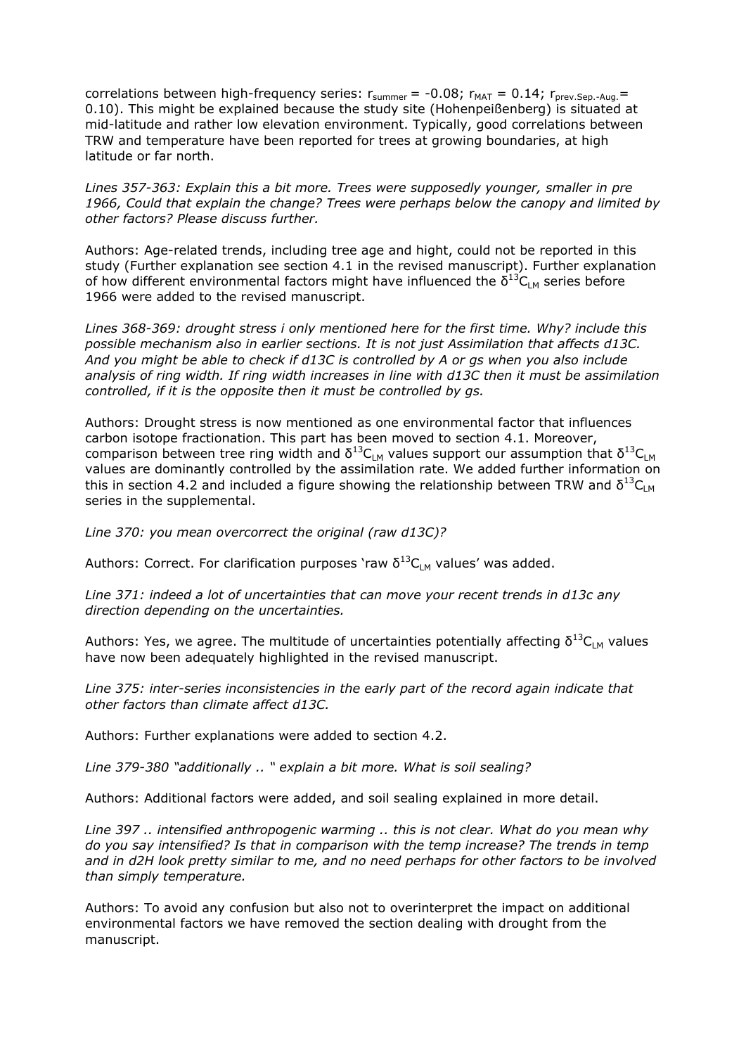correlations between high-frequency series:  $r_{\text{summer}} = -0.08$ ;  $r_{\text{MAT}} = 0.14$ ;  $r_{\text{prev-Sen-Aua}} =$ 0.10). This might be explained because the study site (Hohenpeißenberg) is situated at mid-latitude and rather low elevation environment. Typically, good correlations between TRW and temperature have been reported for trees at growing boundaries, at high latitude or far north.

*Lines 357-363: Explain this a bit more. Trees were supposedly younger, smaller in pre 1966, Could that explain the change? Trees were perhaps below the canopy and limited by other factors? Please discuss further.*

Authors: Age-related trends, including tree age and hight, could not be reported in this study (Further explanation see section 4.1 in the revised manuscript). Further explanation of how different environmental factors might have influenced the  $\delta^{13}C_{LM}$  series before 1966 were added to the revised manuscript.

*Lines 368-369: drought stress i only mentioned here for the first time. Why? include this possible mechanism also in earlier sections. It is not just Assimilation that affects d13C. And you might be able to check if d13C is controlled by A or gs when you also include analysis of ring width. If ring width increases in line with d13C then it must be assimilation controlled, if it is the opposite then it must be controlled by gs.*

Authors: Drought stress is now mentioned as one environmental factor that influences carbon isotope fractionation. This part has been moved to section 4.1. Moreover, comparison between tree ring width and  $\delta^{13}C_{LM}$  values support our assumption that  $\delta^{13}C_{LM}$ values are dominantly controlled by the assimilation rate. We added further information on this in section 4.2 and included a figure showing the relationship between TRW and  $\delta^{13}C_{LM}$ series in the supplemental.

*Line 370: you mean overcorrect the original (raw d13C)?*

Authors: Correct. For clarification purposes 'raw  $\delta^{13}C_{LM}$  values' was added.

*Line 371: indeed a lot of uncertainties that can move your recent trends in d13c any direction depending on the uncertainties.*

Authors: Yes, we agree. The multitude of uncertainties potentially affecting  $\delta^{13}C_{LM}$  values have now been adequately highlighted in the revised manuscript.

*Line 375: inter-series inconsistencies in the early part of the record again indicate that other factors than climate affect d13C.*

Authors: Further explanations were added to section 4.2.

*Line 379-380 "additionally .. " explain a bit more. What is soil sealing?*

Authors: Additional factors were added, and soil sealing explained in more detail.

*Line 397 .. intensified anthropogenic warming .. this is not clear. What do you mean why do you say intensified? Is that in comparison with the temp increase? The trends in temp and in d2H look pretty similar to me, and no need perhaps for other factors to be involved than simply temperature.* 

Authors: To avoid any confusion but also not to overinterpret the impact on additional environmental factors we have removed the section dealing with drought from the manuscript.